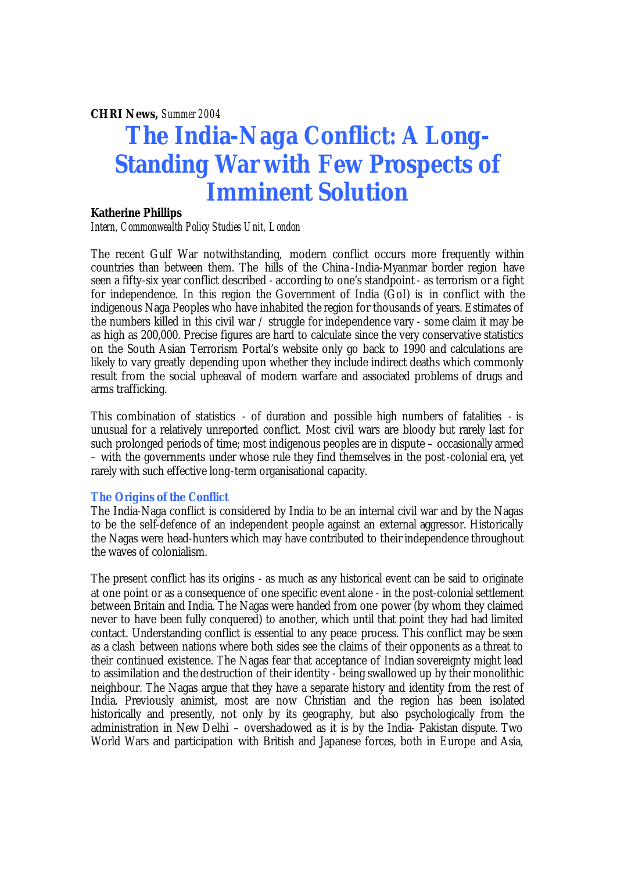*CHRI News, Summer 2004*

# **The India-Naga Conflict: A Long-Standing War with Few Prospects of Imminent Solution**

#### **Katherine Phillips**

*Intern, Commonwealth Policy Studies Unit, London*

The recent Gulf War notwithstanding, modern conflict occurs more frequently within countries than between them. The hills of the China -India-Myanmar border region have seen a fifty-six year conflict described - according to one's standpoint - as terrorism or a fight for independence. In this region the Government of India (GoI) is in conflict with the indigenous Naga Peoples who have inhabited the region for thousands of years. Estimates of the numbers killed in this civil war / struggle for independence vary - some claim it may be as high as 200,000. Precise figures are hard to calculate since the very conservative statistics on the South Asian Terrorism Portal's website only go back to 1990 and calculations are likely to vary greatly depending upon whether they include indirect deaths which commonly result from the social upheaval of modern warfare and associated problems of drugs and arms trafficking.

This combination of statistics - of duration and possible high numbers of fatalities - is unusual for a relatively unreported conflict. Most civil wars are bloody but rarely last for such prolonged periods of time; most indigenous peoples are in dispute – occasionally armed – with the governments under whose rule they find themselves in the post-colonial era, yet rarely with such effective long-term organisational capacity.

#### **The Origins of the Conflict**

The India-Naga conflict is considered by India to be an internal civil war and by the Nagas to be the self-defence of an independent people against an external aggressor. Historically the Nagas were head-hunters which may have contributed to their independence throughout the waves of colonialism.

The present conflict has its origins - as much as any historical event can be said to originate at one point or as a consequence of one specific event alone - in the post-colonial settlement between Britain and India. The Nagas were handed from one power (by whom they claimed never to have been fully conquered) to another, which until that point they had had limited contact. Understanding conflict is essential to any peace process. This conflict may be seen as a clash between nations where both sides see the claims of their opponents as a threat to their continued existence. The Nagas fear that acceptance of Indian sovereignty might lead to assimilation and the destruction of their identity - being swallowed up by their monolithic neighbour. The Nagas argue that they have a separate history and identity from the rest of India. Previously animist, most are now Christian and the region has been isolated historically and presently, not only by its geography, but also psychologically from the administration in New Delhi – overshadowed as it is by the India- Pakistan dispute. Two World Wars and participation with British and Japanese forces, both in Europe and Asia,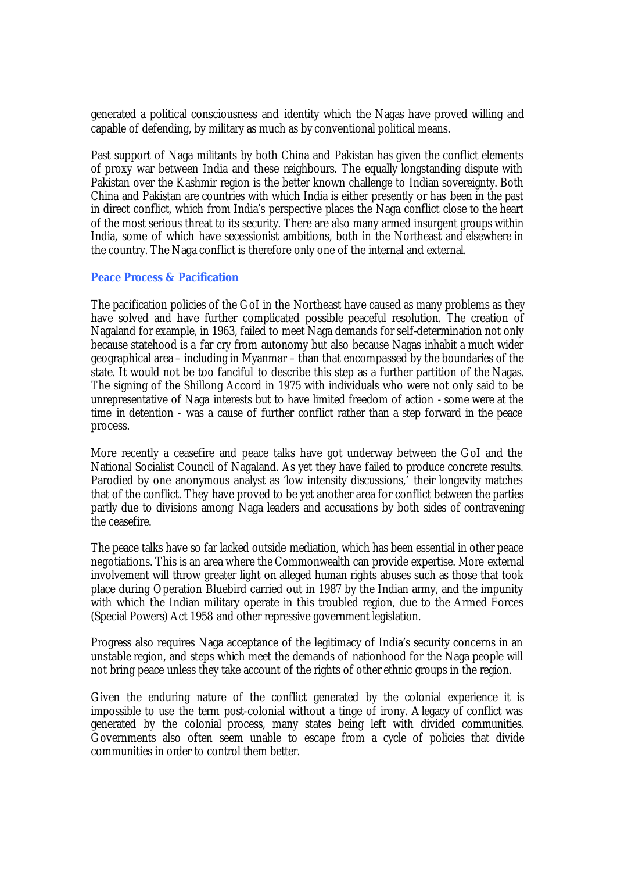generated a political consciousness and identity which the Nagas have proved willing and capable of defending, by military as much as by conventional political means.

Past support of Naga militants by both China and Pakistan has given the conflict elements of proxy war between India and these neighbours. The equally longstanding dispute with Pakistan over the Kashmir region is the better known challenge to Indian sovereignty. Both China and Pakistan are countries with which India is either presently or has been in the past in direct conflict, which from India's perspective places the Naga conflict close to the heart of the most serious threat to its security. There are also many armed insurgent groups within India, some of which have secessionist ambitions, both in the Northeast and elsewhere in the country. The Naga conflict is therefore only one of the internal and external.

#### **Peace Process & Pacification**

The pacification policies of the GoI in the Northeast have caused as many problems as they have solved and have further complicated possible peaceful resolution. The creation of Nagaland for example, in 1963, failed to meet Naga demands for self-determination not only because statehood is a far cry from autonomy but also because Nagas inhabit a much wider geographical area – including in Myanmar – than that encompassed by the boundaries of the state. It would not be too fanciful to describe this step as a further partition of the Nagas. The signing of the Shillong Accord in 1975 with individuals who were not only said to be unrepresentative of Naga interests but to have limited freedom of action - some were at the time in detention - was a cause of further conflict rather than a step forward in the peace process.

More recently a ceasefire and peace talks have got underway between the GoI and the National Socialist Council of Nagaland. As yet they have failed to produce concrete results. Parodied by one anonymous analyst as 'low intensity discussions,' their longevity matches that of the conflict. They have proved to be yet another area for conflict between the parties partly due to divisions among Naga leaders and accusations by both sides of contravening the ceasefire.

The peace talks have so far lacked outside mediation, which has been essential in other peace negotiations. This is an area where the Commonwealth can provide expertise. More external involvement will throw greater light on alleged human rights abuses such as those that took place during Operation Bluebird carried out in 1987 by the Indian army, and the impunity with which the Indian military operate in this troubled region, due to the Armed Forces (Special Powers) Act 1958 and other repressive government legislation.

Progress also requires Naga acceptance of the legitimacy of India's security concerns in an unstable region, and steps which meet the demands of nationhood for the Naga people will not bring peace unless they take account of the rights of other ethnic groups in the region.

Given the enduring nature of the conflict generated by the colonial experience it is impossible to use the term post-colonial without a tinge of irony. Alegacy of conflict was generated by the colonial process, many states being left with divided communities. Governments also often seem unable to escape from a cycle of policies that divide communities in order to control them better.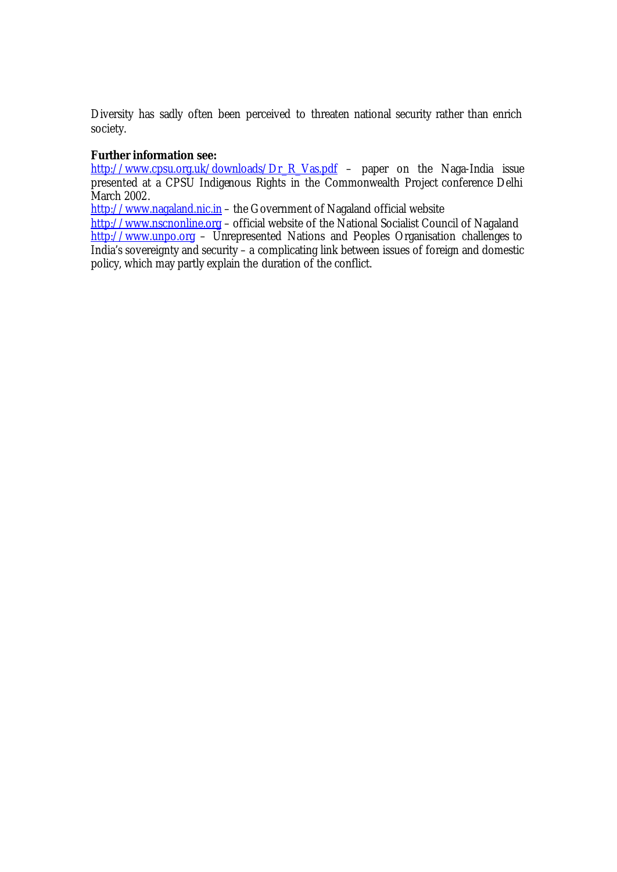Diversity has sadly often been perceived to threaten national security rather than enrich society.

## *Further information see:*

http://www.cpsu.org.uk/downloads/Dr\_R\_Vas.pdf – paper on the Naga-India issue presented at a CPSU Indigenous Rights in the Commonwealth Project conference Delhi March 2002.

http://www.nagaland.nic.in – the Government of Nagaland official website

http://www.nscnonline.org – official website of the National Socialist Council of Nagaland  $\frac{\text{http://www.unpo.org}}{\text{http://www.unpo.org}}$  – Unrepresented Nations and Peoples Organisation challenges to India's sovereignty and security – a complicating link between issues of foreign and domestic policy, which may partly explain the duration of the conflict.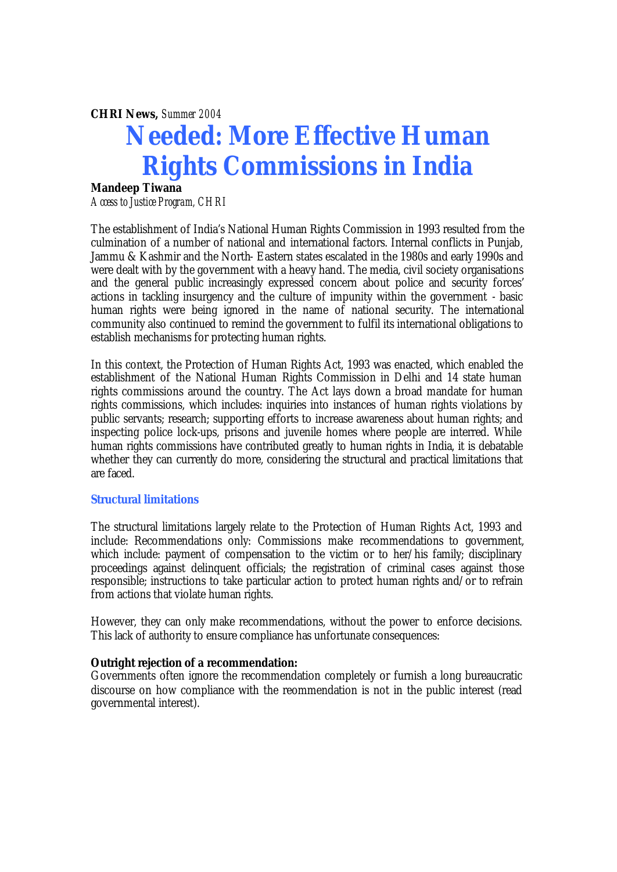*CHRI News, Summer 2004* 

# **Needed: More Effective Human Rights Commissions in India**

# **Mandeep Tiwana**

*Access to Justice Program, CHRI* 

The establishment of India's National Human Rights Commission in 1993 resulted from the culmination of a number of national and international factors. Internal conflicts in Punjab, Jammu & Kashmir and the North- Eastern states escalated in the 1980s and early 1990s and were dealt with by the government with a heavy hand. The media, civil society organisations and the general public increasingly expressed concern about police and security forces' actions in tackling insurgency and the culture of impunity within the government - basic human rights were being ignored in the name of national security. The international community also continued to remind the government to fulfil its international obligations to establish mechanisms for protecting human rights.

In this context, the Protection of Human Rights Act, 1993 was enacted, which enabled the establishment of the National Human Rights Commission in Delhi and 14 state human rights commissions around the country. The Act lays down a broad mandate for human rights commissions, which includes: inquiries into instances of human rights violations by public servants; research; supporting efforts to increase awareness about human rights; and inspecting police lock-ups, prisons and juvenile homes where people are interred. While human rights commissions have contributed greatly to human rights in India, it is debatable whether they can currently do more, considering the structural and practical limitations that are faced.

#### **Structural limitations**

The structural limitations largely relate to the Protection of Human Rights Act, 1993 and include: Recommendations only: Commissions make recommendations to government, which include: payment of compensation to the victim or to her/his family; disciplinary proceedings against delinquent officials; the registration of criminal cases against those responsible; instructions to take particular action to protect human rights and/or to refrain from actions that violate human rights.

However, they can only make recommendations, without the power to enforce decisions. This lack of authority to ensure compliance has unfortunate consequences:

#### **Outright rejection of a recommendation:**

Governments often ignore the recommendation completely or furnish a long bureaucratic discourse on how compliance with the reommendation is not in the public interest (read governmental interest).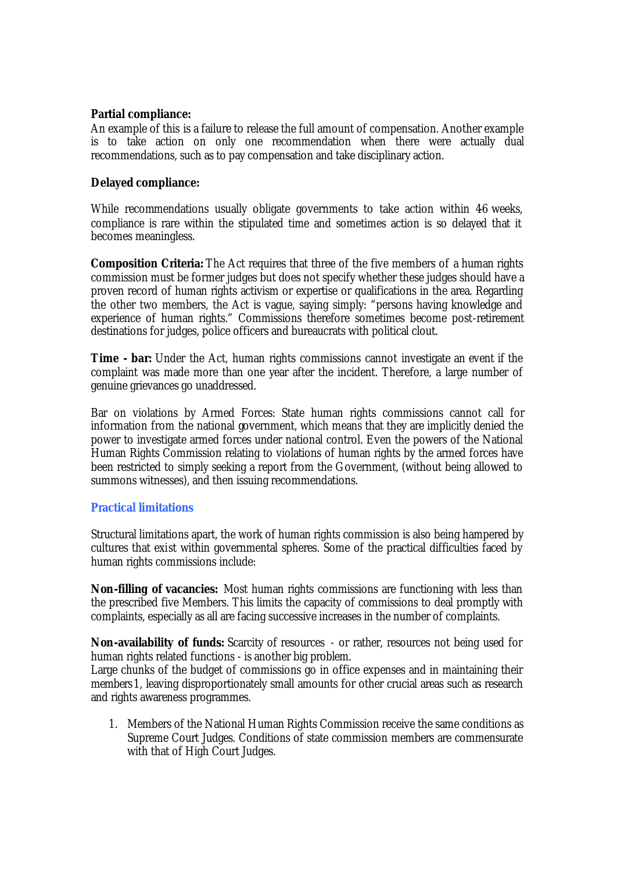# **Partial compliance:**

An example of this is a failure to release the full amount of compensation. Another example is to take action on only one recommendation when there were actually dual recommendations, such as to pay compensation and take disciplinary action.

# **Delayed compliance:**

While recommendations usually obligate governments to take action within 46 weeks, compliance is rare within the stipulated time and sometimes action is so delayed that it becomes meaningless.

**Composition Criteria:** The Act requires that three of the five members of a human rights commission must be former judges but does not specify whether these judges should have a proven record of human rights activism or expertise or qualifications in the area. Regarding the other two members, the Act is vague, saying simply: "persons having knowledge and experience of human rights." Commissions therefore sometimes become post-retirement destinations for judges, police officers and bureaucrats with political clout.

*Time - bar:* Under the Act, human rights commissions cannot investigate an event if the complaint was made more than one year after the incident. Therefore, a large number of genuine grievances go unaddressed.

Bar on violations by Armed Forces: State human rights commissions cannot call for information from the national government, which means that they are implicitly denied the power to investigate armed forces under national control. Even the powers of the National Human Rights Commission relating to violations of human rights by the armed forces have been restricted to simply seeking a report from the Government, (without being allowed to summons witnesses), and then issuing recommendations.

# **Practical limitations**

Structural limitations apart, the work of human rights commission is also being hampered by cultures that exist within governmental spheres. Some of the practical difficulties faced by human rights commissions include:

*Non-filling of vacancies:* Most human rights commissions are functioning with less than the prescribed five Members. This limits the capacity of commissions to deal promptly with complaints, especially as all are facing successive increases in the number of complaints.

*Non-availability of funds:* Scarcity of resources - or rather, resources not being used for human rights related functions - is another big problem.

Large chunks of the budget of commissions go in office expenses and in maintaining their members1, leaving disproportionately small amounts for other crucial areas such as research and rights awareness programmes.

1. Members of the National Human Rights Commission receive the same conditions as Supreme Court Judges. Conditions of state commission members are commensurate with that of High Court Judges.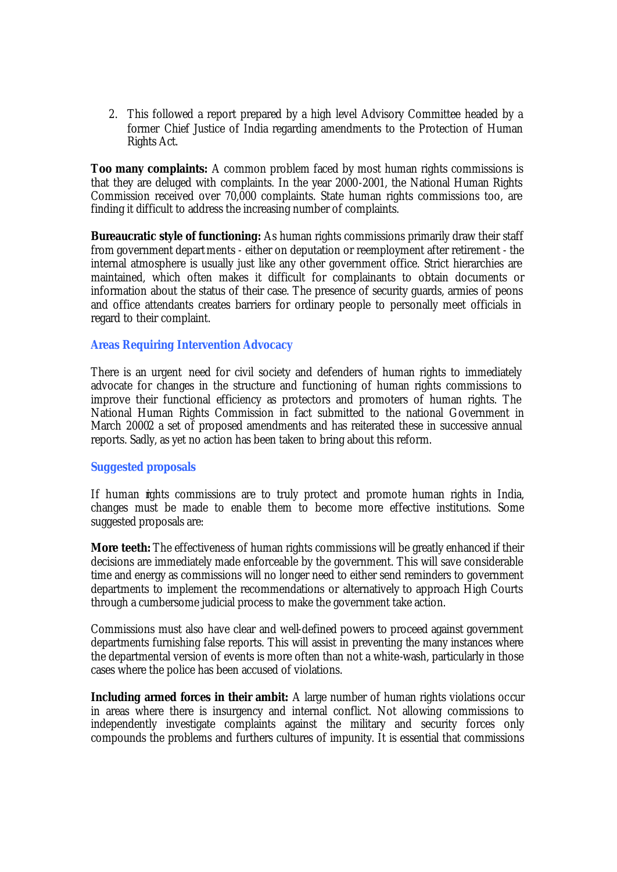2. This followed a report prepared by a high level Advisory Committee headed by a former Chief Justice of India regarding amendments to the Protection of Human Rights Act.

**Too many complaints:** A common problem faced by most human rights commissions is that they are deluged with complaints. In the year 2000-2001, the National Human Rights Commission received over 70,000 complaints. State human rights commissions too, are finding it difficult to address the increasing number of complaints.

**Bureaucratic style of functioning:** As human rights commissions primarily draw their staff from government departments - either on deputation or reemployment after retirement - the internal atmosphere is usually just like any other government office. Strict hierarchies are maintained, which often makes it difficult for complainants to obtain documents or information about the status of their case. The presence of security guards, armies of peons and office attendants creates barriers for ordinary people to personally meet officials in regard to their complaint.

#### **Areas Requiring Intervention Advocacy**

There is an urgent need for civil society and defenders of human rights to immediately advocate for changes in the structure and functioning of human rights commissions to improve their functional efficiency as protectors and promoters of human rights. The National Human Rights Commission in fact submitted to the national Government in March 20002 a set of proposed amendments and has reiterated these in successive annual reports. Sadly, as yet no action has been taken to bring about this reform.

#### **Suggested proposals**

If human rights commissions are to truly protect and promote human rights in India, changes must be made to enable them to become more effective institutions. Some suggested proposals are:

*More teeth:* The effectiveness of human rights commissions will be greatly enhanced if their decisions are immediately made enforceable by the government. This will save considerable time and energy as commissions will no longer need to either send reminders to government departments to implement the recommendations or alternatively to approach High Courts through a cumbersome judicial process to make the government take action.

Commissions must also have clear and well-defined powers to proceed against government departments furnishing false reports. This will assist in preventing the many instances where the departmental version of events is more often than not a white-wash, particularly in those cases where the police has been accused of violations.

**Including armed forces in their ambit:** A large number of human rights violations occur in areas where there is insurgency and internal conflict. Not allowing commissions to independently investigate complaints against the military and security forces only compounds the problems and furthers cultures of impunity. It is essential that commissions